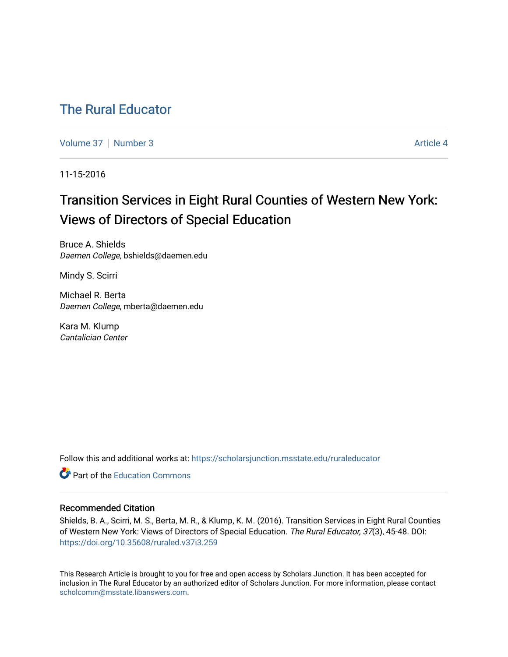# [The Rural Educator](https://scholarsjunction.msstate.edu/ruraleducator)

[Volume 37](https://scholarsjunction.msstate.edu/ruraleducator/vol37) | [Number 3](https://scholarsjunction.msstate.edu/ruraleducator/vol37/iss3) Article 4

11-15-2016

# Transition Services in Eight Rural Counties of Western New York: Views of Directors of Special Education

Bruce A. Shields Daemen College, bshields@daemen.edu

Mindy S. Scirri

Michael R. Berta Daemen College, mberta@daemen.edu

Kara M. Klump Cantalician Center

Follow this and additional works at: [https://scholarsjunction.msstate.edu/ruraleducator](https://scholarsjunction.msstate.edu/ruraleducator?utm_source=scholarsjunction.msstate.edu%2Fruraleducator%2Fvol37%2Fiss3%2F4&utm_medium=PDF&utm_campaign=PDFCoverPages)

**C** Part of the [Education Commons](http://network.bepress.com/hgg/discipline/784?utm_source=scholarsjunction.msstate.edu%2Fruraleducator%2Fvol37%2Fiss3%2F4&utm_medium=PDF&utm_campaign=PDFCoverPages)

## Recommended Citation

Shields, B. A., Scirri, M. S., Berta, M. R., & Klump, K. M. (2016). Transition Services in Eight Rural Counties of Western New York: Views of Directors of Special Education. The Rural Educator, 37(3), 45-48. DOI: <https://doi.org/10.35608/ruraled.v37i3.259>

This Research Article is brought to you for free and open access by Scholars Junction. It has been accepted for inclusion in The Rural Educator by an authorized editor of Scholars Junction. For more information, please contact [scholcomm@msstate.libanswers.com.](mailto:scholcomm@msstate.libanswers.com)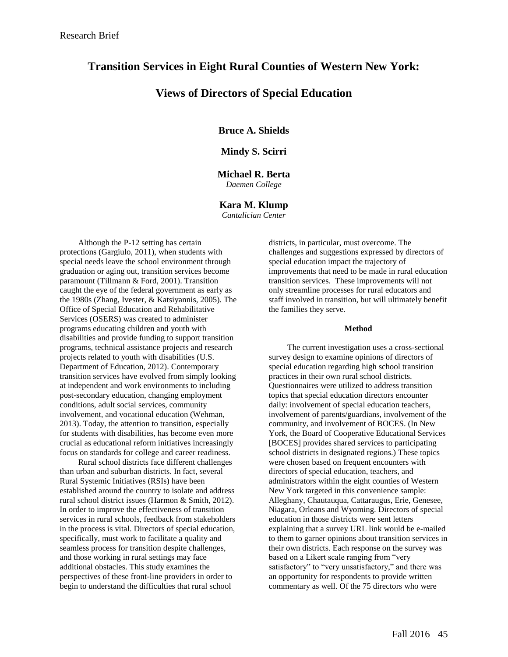## **Transition Services in Eight Rural Counties of Western New York:**

## **Views of Directors of Special Education**

**Bruce A. Shields**

## **Mindy S. Scirri**

## **Michael R. Berta**

*Daemen College*

## **Kara M. Klump**

*Cantalician Center*

Although the P-12 setting has certain protections (Gargiulo, 2011), when students with special needs leave the school environment through graduation or aging out, transition services become paramount (Tillmann & Ford, 2001). Transition caught the eye of the federal government as early as the 1980s (Zhang, Ivester, & Katsiyannis, 2005). The Office of Special Education and Rehabilitative Services (OSERS) was created to administer programs educating children and youth with disabilities and provide funding to support transition programs, technical assistance projects and research projects related to youth with disabilities (U.S. Department of Education, 2012). Contemporary transition services have evolved from simply looking at independent and work environments to including post-secondary education, changing employment conditions, adult social services, community involvement, and vocational education (Wehman, 2013). Today, the attention to transition, especially for students with disabilities, has become even more crucial as educational reform initiatives increasingly focus on standards for college and career readiness.

Rural school districts face different challenges than urban and suburban districts. In fact, several Rural Systemic Initiatives (RSIs) have been established around the country to isolate and address rural school district issues (Harmon & Smith, 2012). In order to improve the effectiveness of transition services in rural schools, feedback from stakeholders in the process is vital. Directors of special education, specifically, must work to facilitate a quality and seamless process for transition despite challenges, and those working in rural settings may face additional obstacles. This study examines the perspectives of these front-line providers in order to begin to understand the difficulties that rural school

districts, in particular, must overcome. The challenges and suggestions expressed by directors of special education impact the trajectory of improvements that need to be made in rural education transition services. These improvements will not only streamline processes for rural educators and staff involved in transition, but will ultimately benefit the families they serve.

### **Method**

The current investigation uses a cross-sectional survey design to examine opinions of directors of special education regarding high school transition practices in their own rural school districts. Questionnaires were utilized to address transition topics that special education directors encounter daily: involvement of special education teachers, involvement of parents/guardians, involvement of the community, and involvement of BOCES. (In New York, the Board of Cooperative Educational Services [BOCES] provides shared services to participating school districts in designated regions.) These topics were chosen based on frequent encounters with directors of special education, teachers, and administrators within the eight counties of Western New York targeted in this convenience sample: Alleghany, Chautauqua, Cattaraugus, Erie, Genesee, Niagara, Orleans and Wyoming. Directors of special education in those districts were sent letters explaining that a survey URL link would be e-mailed to them to garner opinions about transition services in their own districts. Each response on the survey was based on a Likert scale ranging from "very satisfactory" to "very unsatisfactory," and there was an opportunity for respondents to provide written commentary as well. Of the 75 directors who were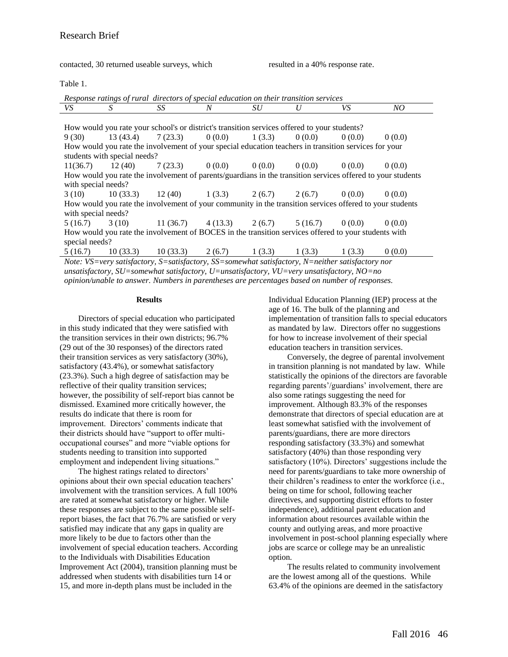contacted, 30 returned useable surveys, which resulted in a 40% response rate.

Table 1.

| Response ratings of rural directors of special education on their transition services                       |                              |                                                                                                  |   |    |   |        |        |
|-------------------------------------------------------------------------------------------------------------|------------------------------|--------------------------------------------------------------------------------------------------|---|----|---|--------|--------|
| VS                                                                                                          | S                            | SS                                                                                               | N | SU | U | VS     | NO     |
|                                                                                                             |                              |                                                                                                  |   |    |   |        |        |
| How would you rate your school's or district's transition services offered to your students?                |                              |                                                                                                  |   |    |   |        |        |
| 9 (30)                                                                                                      |                              | $13(43.4)$ $7(23.3)$ $0(0.0)$ $1(3.3)$ $0(0.0)$                                                  |   |    |   | 0(0.0) | 0(0.0) |
| How would you rate the involvement of your special education teachers in transition services for your       |                              |                                                                                                  |   |    |   |        |        |
|                                                                                                             | students with special needs? |                                                                                                  |   |    |   |        |        |
| 11(36.7)                                                                                                    |                              | $12(40)$ $7(23.3)$ $0(0.0)$ $0(0.0)$ $0(0.0)$ $0(0.0)$                                           |   |    |   |        | 0(0.0) |
| How would you rate the involvement of parents/guardians in the transition services offered to your students |                              |                                                                                                  |   |    |   |        |        |
| with special needs?                                                                                         |                              |                                                                                                  |   |    |   |        |        |
|                                                                                                             |                              | $3(10)$ $10(33.3)$ $12(40)$ $1(3.3)$ $2(6.7)$ $2(6.7)$ $0(0.0)$                                  |   |    |   |        | 0(0.0) |
| How would you rate the involvement of your community in the transition services offered to your students    |                              |                                                                                                  |   |    |   |        |        |
| with special needs?                                                                                         |                              |                                                                                                  |   |    |   |        |        |
|                                                                                                             |                              | $5(16.7)$ $3(10)$ $11(36.7)$ $4(13.3)$ $2(6.7)$ $5(16.7)$ $0(0.0)$                               |   |    |   |        | 0(0.0) |
| How would you rate the involvement of BOCES in the transition services offered to your students with        |                              |                                                                                                  |   |    |   |        |        |
| special needs?                                                                                              |                              |                                                                                                  |   |    |   |        |        |
|                                                                                                             |                              | 5 (16.7) 10 (33.3) 10 (33.3) 2 (6.7) 1 (3.3) 1 (3.3) 1 (3.3)                                     |   |    |   |        | 0(0.0) |
|                                                                                                             |                              | Note: VS=very satisfactory, S=satisfactory, SS=somewhat satisfactory, N=neither satisfactory nor |   |    |   |        |        |

*unsatisfactory, SU=somewhat satisfactory, U=unsatisfactory, VU=very unsatisfactory, NO=no opinion/unable to answer. Numbers in parentheses are percentages based on number of responses.*

#### **Results**

Directors of special education who participated in this study indicated that they were satisfied with the transition services in their own districts; 96.7% (29 out of the 30 responses) of the directors rated their transition services as very satisfactory (30%), satisfactory (43.4%), or somewhat satisfactory (23.3%). Such a high degree of satisfaction may be reflective of their quality transition services; however, the possibility of self-report bias cannot be dismissed. Examined more critically however, the results do indicate that there is room for improvement. Directors' comments indicate that their districts should have "support to offer multioccupational courses" and more "viable options for students needing to transition into supported employment and independent living situations."

The highest ratings related to directors' opinions about their own special education teachers' involvement with the transition services. A full 100% are rated at somewhat satisfactory or higher. While these responses are subject to the same possible selfreport biases, the fact that 76.7% are satisfied or very satisfied may indicate that any gaps in quality are more likely to be due to factors other than the involvement of special education teachers. According to the Individuals with Disabilities Education Improvement Act (2004), transition planning must be addressed when students with disabilities turn 14 or 15, and more in-depth plans must be included in the

Individual Education Planning (IEP) process at the age of 16. The bulk of the planning and implementation of transition falls to special educators as mandated by law. Directors offer no suggestions for how to increase involvement of their special education teachers in transition services.

Conversely, the degree of parental involvement in transition planning is not mandated by law. While statistically the opinions of the directors are favorable regarding parents'/guardians' involvement, there are also some ratings suggesting the need for improvement. Although 83.3% of the responses demonstrate that directors of special education are at least somewhat satisfied with the involvement of parents/guardians, there are more directors responding satisfactory (33.3%) and somewhat satisfactory (40%) than those responding very satisfactory (10%). Directors' suggestions include the need for parents/guardians to take more ownership of their children's readiness to enter the workforce (i.e., being on time for school, following teacher directives, and supporting district efforts to foster independence), additional parent education and information about resources available within the county and outlying areas, and more proactive involvement in post-school planning especially where jobs are scarce or college may be an unrealistic option.

The results related to community involvement are the lowest among all of the questions. While 63.4% of the opinions are deemed in the satisfactory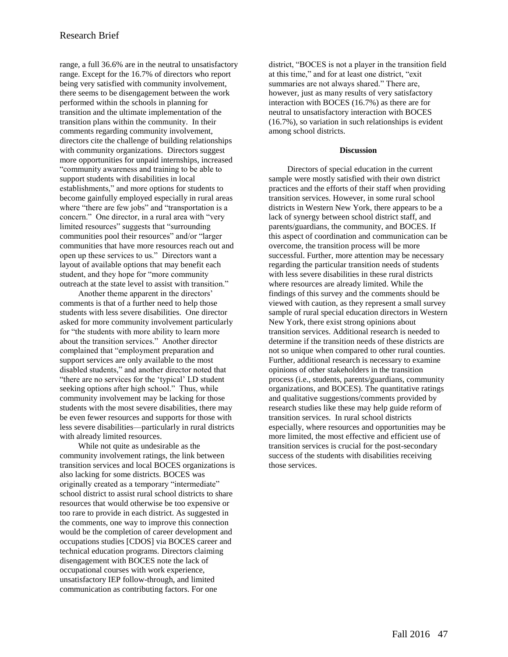range, a full 36.6% are in the neutral to unsatisfactory range. Except for the 16.7% of directors who report being very satisfied with community involvement, there seems to be disengagement between the work performed within the schools in planning for transition and the ultimate implementation of the transition plans within the community. In their comments regarding community involvement, directors cite the challenge of building relationships with community organizations. Directors suggest more opportunities for unpaid internships, increased "community awareness and training to be able to support students with disabilities in local establishments," and more options for students to become gainfully employed especially in rural areas where "there are few jobs" and "transportation is a concern." One director, in a rural area with "very limited resources" suggests that "surrounding communities pool their resources" and/or "larger communities that have more resources reach out and open up these services to us." Directors want a layout of available options that may benefit each student, and they hope for "more community outreach at the state level to assist with transition."

Another theme apparent in the directors' comments is that of a further need to help those students with less severe disabilities. One director asked for more community involvement particularly for "the students with more ability to learn more about the transition services." Another director complained that "employment preparation and support services are only available to the most disabled students," and another director noted that "there are no services for the 'typical' LD student seeking options after high school." Thus, while community involvement may be lacking for those students with the most severe disabilities, there may be even fewer resources and supports for those with less severe disabilities—particularly in rural districts with already limited resources.

While not quite as undesirable as the community involvement ratings, the link between transition services and local BOCES organizations is also lacking for some districts. BOCES was originally created as a temporary "intermediate" school district to assist rural school districts to share resources that would otherwise be too expensive or too rare to provide in each district. As suggested in the comments, one way to improve this connection would be the completion of career development and occupations studies [CDOS] via BOCES career and technical education programs. Directors claiming disengagement with BOCES note the lack of occupational courses with work experience, unsatisfactory IEP follow-through, and limited communication as contributing factors. For one

district, "BOCES is not a player in the transition field at this time," and for at least one district, "exit summaries are not always shared." There are, however, just as many results of very satisfactory interaction with BOCES (16.7%) as there are for neutral to unsatisfactory interaction with BOCES (16.7%), so variation in such relationships is evident among school districts.

#### **Discussion**

Directors of special education in the current sample were mostly satisfied with their own district practices and the efforts of their staff when providing transition services. However, in some rural school districts in Western New York, there appears to be a lack of synergy between school district staff, and parents/guardians, the community, and BOCES. If this aspect of coordination and communication can be overcome, the transition process will be more successful. Further, more attention may be necessary regarding the particular transition needs of students with less severe disabilities in these rural districts where resources are already limited. While the findings of this survey and the comments should be viewed with caution, as they represent a small survey sample of rural special education directors in Western New York, there exist strong opinions about transition services. Additional research is needed to determine if the transition needs of these districts are not so unique when compared to other rural counties. Further, additional research is necessary to examine opinions of other stakeholders in the transition process (i.e., students, parents/guardians, community organizations, and BOCES). The quantitative ratings and qualitative suggestions/comments provided by research studies like these may help guide reform of transition services. In rural school districts especially, where resources and opportunities may be more limited, the most effective and efficient use of transition services is crucial for the post-secondary success of the students with disabilities receiving those services.